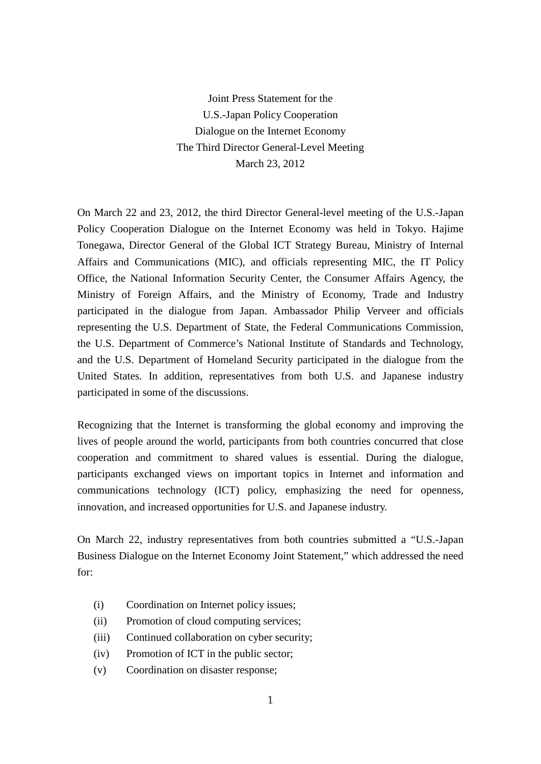Joint Press Statement for the U.S.-Japan Policy Cooperation Dialogue on the Internet Economy The Third Director General-Level Meeting March 23, 2012

On March 22 and 23, 2012, the third Director General-level meeting of the U.S.-Japan Policy Cooperation Dialogue on the Internet Economy was held in Tokyo. Hajime Tonegawa, Director General of the Global ICT Strategy Bureau, Ministry of Internal Affairs and Communications (MIC), and officials representing MIC, the IT Policy Office, the National Information Security Center, the Consumer Affairs Agency, the Ministry of Foreign Affairs, and the Ministry of Economy, Trade and Industry participated in the dialogue from Japan. Ambassador Philip Verveer and officials representing the U.S. Department of State, the Federal Communications Commission, the U.S. Department of Commerce's National Institute of Standards and Technology, and the U.S. Department of Homeland Security participated in the dialogue from the United States. In addition, representatives from both U.S. and Japanese industry participated in some of the discussions.

Recognizing that the Internet is transforming the global economy and improving the lives of people around the world, participants from both countries concurred that close cooperation and commitment to shared values is essential. During the dialogue, participants exchanged views on important topics in Internet and information and communications technology (ICT) policy, emphasizing the need for openness, innovation, and increased opportunities for U.S. and Japanese industry.

On March 22, industry representatives from both countries submitted a "U.S.-Japan Business Dialogue on the Internet Economy Joint Statement," which addressed the need for:

- (i) Coordination on Internet policy issues;
- (ii) Promotion of cloud computing services;
- (iii) Continued collaboration on cyber security;
- (iv) Promotion of ICT in the public sector;
- (v) Coordination on disaster response;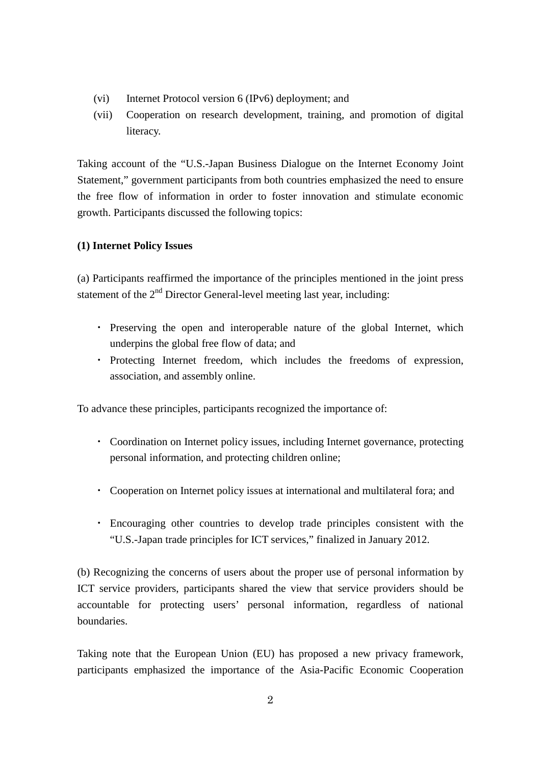- (vi) Internet Protocol version 6 (IPv6) deployment; and
- (vii) Cooperation on research development, training, and promotion of digital literacy.

Taking account of the "U.S.-Japan Business Dialogue on the Internet Economy Joint Statement," government participants from both countries emphasized the need to ensure the free flow of information in order to foster innovation and stimulate economic growth. Participants discussed the following topics:

# **(1) Internet Policy Issues**

(a) Participants reaffirmed the importance of the principles mentioned in the joint press statement of the  $2<sup>nd</sup>$  Director General-level meeting last year, including:

- ・ Preserving the open and interoperable nature of the global Internet, which underpins the global free flow of data; and
- ・ Protecting Internet freedom, which includes the freedoms of expression, association, and assembly online.

To advance these principles, participants recognized the importance of:

- ・ Coordination on Internet policy issues, including Internet governance, protecting personal information, and protecting children online;
- ・ Cooperation on Internet policy issues at international and multilateral fora; and
- ・ Encouraging other countries to develop trade principles consistent with the "U.S.-Japan trade principles for ICT services," finalized in January 2012.

(b) Recognizing the concerns of users about the proper use of personal information by ICT service providers, participants shared the view that service providers should be accountable for protecting users' personal information, regardless of national boundaries.

Taking note that the European Union (EU) has proposed a new privacy framework, participants emphasized the importance of the Asia-Pacific Economic Cooperation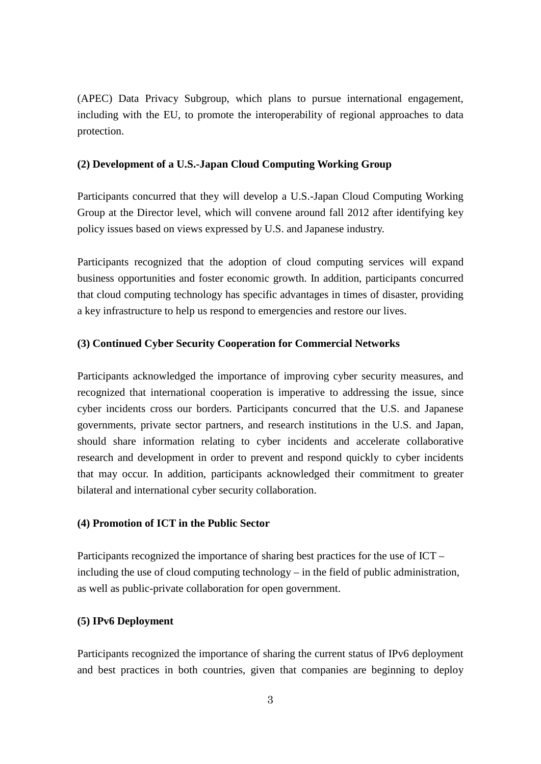(APEC) Data Privacy Subgroup, which plans to pursue international engagement, including with the EU, to promote the interoperability of regional approaches to data protection.

### **(2) Development of a U.S.-Japan Cloud Computing Working Group**

Participants concurred that they will develop a U.S.-Japan Cloud Computing Working Group at the Director level, which will convene around fall 2012 after identifying key policy issues based on views expressed by U.S. and Japanese industry.

Participants recognized that the adoption of cloud computing services will expand business opportunities and foster economic growth. In addition, participants concurred that cloud computing technology has specific advantages in times of disaster, providing a key infrastructure to help us respond to emergencies and restore our lives.

#### **(3) Continued Cyber Security Cooperation for Commercial Networks**

Participants acknowledged the importance of improving cyber security measures, and recognized that international cooperation is imperative to addressing the issue, since cyber incidents cross our borders. Participants concurred that the U.S. and Japanese governments, private sector partners, and research institutions in the U.S. and Japan, should share information relating to cyber incidents and accelerate collaborative research and development in order to prevent and respond quickly to cyber incidents that may occur. In addition, participants acknowledged their commitment to greater bilateral and international cyber security collaboration.

### **(4) Promotion of ICT in the Public Sector**

Participants recognized the importance of sharing best practices for the use of ICT – including the use of cloud computing technology – in the field of public administration, as well as public-private collaboration for open government.

#### **(5) IPv6 Deployment**

Participants recognized the importance of sharing the current status of IPv6 deployment and best practices in both countries, given that companies are beginning to deploy